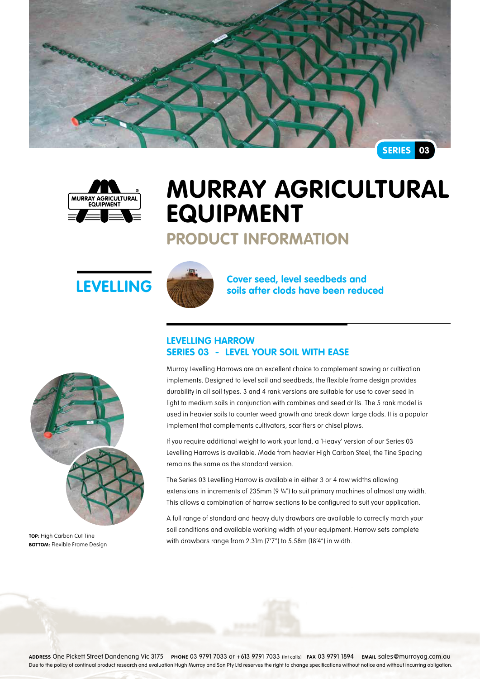



# **Murray Agricultural Equipment**

### **Product Information**





**LEVELLING Cover seed, level seedbeds and LEVELLING Solution Solution Solution Solution Solution Solution Solution Solution Solution Solution Solution Solution Solution Solution Solution**

### **Levelling Harrow Series 03 - Level your soil with ease**

Murray Levelling Harrows are an excellent choice to complement sowing or cultivation implements. Designed to level soil and seedbeds, the flexible frame design provides durability in all soil types. 3 and 4 rank versions are suitable for use to cover seed in light to medium soils in conjunction with combines and seed drills. The 5 rank model is used in heavier soils to counter weed growth and break down large clods. It is a popular implement that complements cultivators, scarifiers or chisel plows.

If you require additional weight to work your land, a 'Heavy' version of our Series 03 Levelling Harrows is available. Made from heavier High Carbon Steel, the Tine Spacing remains the same as the standard version.

The Series 03 Levelling Harrow is available in either 3 or 4 row widths allowing extensions in increments of 235mm (9 ¼") to suit primary machines of almost any width. This allows a combination of harrow sections to be configured to suit your application.

A full range of standard and heavy duty drawbars are available to correctly match your soil conditions and available working width of your equipment. Harrow sets complete with drawbars range from 2.31m (7'7") to 5.58m (18'4") in width.



**TOP:** High Carbon Cut Tine **BOTTOM:** Flexible Frame Design

**Address** One Pickett Street Dandenong Vic 3175 **Phone** 03 9791 7033 or +613 9791 7033 (Int calls) **Fax** 03 9791 1894 **Email** sales@murrayag.com.au Due to the policy of continual product research and evaluation Hugh Murray and Son Pty Ltd reserves the right to change specifications without notice and without incurring obligation.